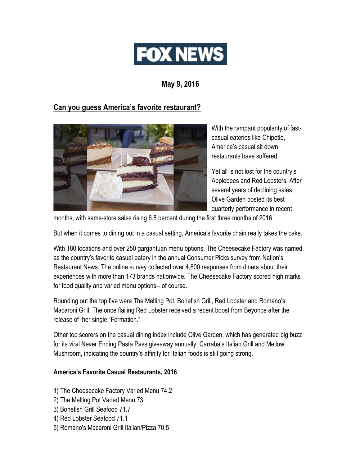

**May 9, 2016**

## **Can you guess America's favorite restaurant?**



With the rampant popularity of fastcasual eateries like Chipotle, America's casual sit down restaurants have suffered.

Yet all is not lost for the country's Applebees and Red Lobsters. After several years of declining sales, Olive Garden posted its best quarterly performance in recent

months, with same-store sales rising 6.8 percent during the first three months of 2016.

But when it comes to dining out in a casual setting, America's favorite chain really takes the cake.

With 180 locations and over 250 gargantuan menu options, The Cheesecake Factory was named as the country's favorite casual eatery in the annual Consumer Picks survey from Nation's Restaurant News. The online survey collected over 4,800 responses from diners about their experiences with more than 173 brands nationwide. The Cheesecake Factory scored high marks for food quality and varied menu options-- of course.

Rounding out the top five were The Melting Pot, Bonefish Grill, Red Lobster and Romano's Macaroni Grill. The once flailing Red Lobster received a recent boost from Beyonce after the release of her single "Formation."

Other top scorers on the casual dining index include Olive Garden, which has generated big buzz for its viral Never Ending Pasta Pass giveaway annually, Carraba's Italian Grill and Mellow Mushroom, indicating the country's affinity for Italian foods is still going strong.

## **America's Favorite Casual Restaurants, 2016**

- 1) The Cheesecake Factory Varied Menu 74.2
- 2) The Melting Pot Varied Menu 73
- 3) Bonefish Grill Seafood 71.7
- 4) Red Lobster Seafood 71.1
- 5) Romano's Macaroni Grill Italian/Pizza 70.5